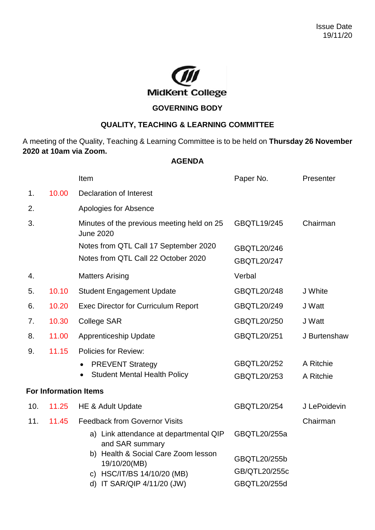

## **GOVERNING BODY**

## **QUALITY, TEACHING & LEARNING COMMITTEE**

A meeting of the Quality, Teaching & Learning Committee is to be held on **Thursday 26 November 2020 at 10am via Zoom.**

## **AGENDA**

|     |       | Item                                                                              | Paper No.                     | Presenter              |
|-----|-------|-----------------------------------------------------------------------------------|-------------------------------|------------------------|
| 1.  | 10.00 | <b>Declaration of Interest</b>                                                    |                               |                        |
| 2.  |       | Apologies for Absence                                                             |                               |                        |
| 3.  |       | Minutes of the previous meeting held on 25<br><b>June 2020</b>                    | GBQTL19/245                   | Chairman               |
|     |       | Notes from QTL Call 17 September 2020<br>Notes from QTL Call 22 October 2020      | GBQTL20/246<br>GBQTL20/247    |                        |
| 4.  |       | <b>Matters Arising</b>                                                            | Verbal                        |                        |
| 5.  | 10.10 | <b>Student Engagement Update</b>                                                  | <b>GBQTL20/248</b>            | J White                |
| 6.  | 10.20 | <b>Exec Director for Curriculum Report</b>                                        | GBQTL20/249                   | J Watt                 |
| 7.  | 10.30 | <b>College SAR</b>                                                                | GBQTL20/250                   | J Watt                 |
| 8.  | 11.00 | <b>Apprenticeship Update</b>                                                      | GBQTL20/251                   | J Burtenshaw           |
| 9.  | 11.15 | <b>Policies for Review:</b>                                                       |                               |                        |
|     |       | <b>PREVENT Strategy</b><br><b>Student Mental Health Policy</b>                    | GBQTL20/252<br>GBQTL20/253    | A Ritchie<br>A Ritchie |
|     |       | <b>For Information Items</b>                                                      |                               |                        |
| 10. | 11.25 | HE & Adult Update                                                                 | <b>GBQTL20/254</b>            | J LePoidevin           |
| 11. | 11.45 | <b>Feedback from Governor Visits</b>                                              |                               | Chairman               |
|     |       | a) Link attendance at departmental QIP<br>and SAR summary                         | GBQTL20/255a                  |                        |
|     |       | b) Health & Social Care Zoom lesson<br>19/10/20(MB)<br>c) HSC/IT/BS 14/10/20 (MB) | GBQTL20/255b<br>GB/QTL20/255c |                        |
|     |       | d) IT SAR/QIP 4/11/20 (JW)                                                        | GBQTL20/255d                  |                        |